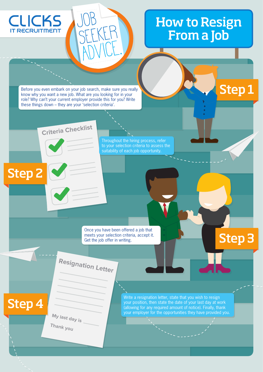## How to Resign From a Job

П

Step 1

Step 3

Before you even embark on your job search, make sure you really know why you want a new job. What are you looking for in your role? Why can't your current employer provide this for you? Write these things down – they are your 'selection criteria'.

Job

SEEKER

ADVICE.

**Criteria Checklist**

Throughout the hiring process, refer to your selection criteria to assess the suitability of each job opportunity.

Once you have been offered a job that meets your selection criteria, accept it. Get the job offer in writing.

**Resignation Letter**

Step 4

Step 2

**CLICKS** 

**IT RECRUITMENT** 

**My last day is Thank you**

Write a resignation letter, state that you wish to resign your position, then state the date of your last day at work (allowing for any required amount of notice). Finally, thank your employer for the opportunities they have provided you.